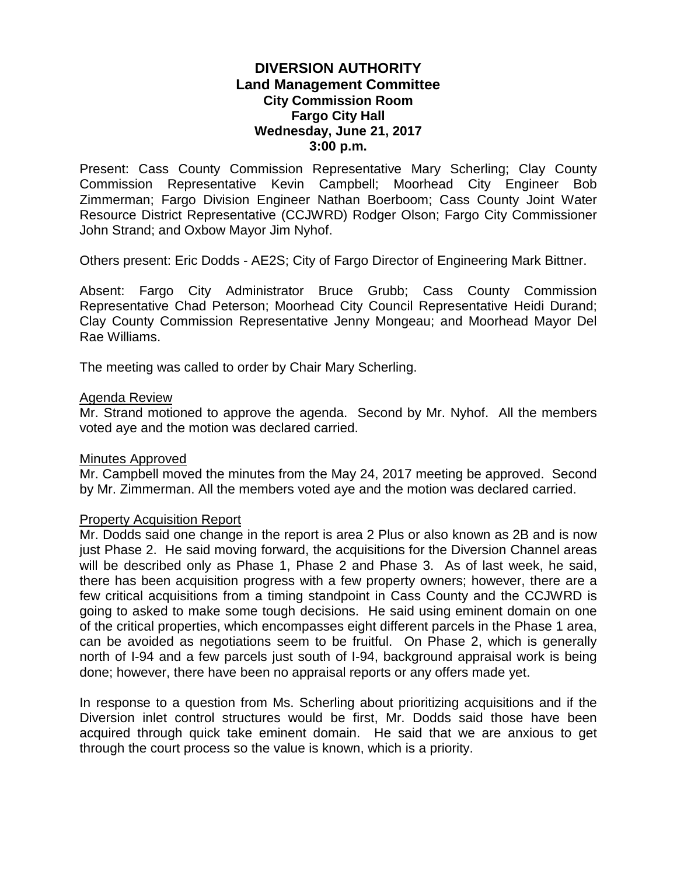# **DIVERSION AUTHORITY Land Management Committee City Commission Room Fargo City Hall Wednesday, June 21, 2017 3:00 p.m.**

Present: Cass County Commission Representative Mary Scherling; Clay County Commission Representative Kevin Campbell; Moorhead City Engineer Bob Zimmerman; Fargo Division Engineer Nathan Boerboom; Cass County Joint Water Resource District Representative (CCJWRD) Rodger Olson; Fargo City Commissioner John Strand; and Oxbow Mayor Jim Nyhof.

Others present: Eric Dodds - AE2S; City of Fargo Director of Engineering Mark Bittner.

Absent: Fargo City Administrator Bruce Grubb; Cass County Commission Representative Chad Peterson; Moorhead City Council Representative Heidi Durand; Clay County Commission Representative Jenny Mongeau; and Moorhead Mayor Del Rae Williams.

The meeting was called to order by Chair Mary Scherling.

### Agenda Review

Mr. Strand motioned to approve the agenda. Second by Mr. Nyhof. All the members voted aye and the motion was declared carried.

#### Minutes Approved

Mr. Campbell moved the minutes from the May 24, 2017 meeting be approved. Second by Mr. Zimmerman. All the members voted aye and the motion was declared carried.

### Property Acquisition Report

Mr. Dodds said one change in the report is area 2 Plus or also known as 2B and is now just Phase 2. He said moving forward, the acquisitions for the Diversion Channel areas will be described only as Phase 1, Phase 2 and Phase 3. As of last week, he said, there has been acquisition progress with a few property owners; however, there are a few critical acquisitions from a timing standpoint in Cass County and the CCJWRD is going to asked to make some tough decisions. He said using eminent domain on one of the critical properties, which encompasses eight different parcels in the Phase 1 area, can be avoided as negotiations seem to be fruitful. On Phase 2, which is generally north of I-94 and a few parcels just south of I-94, background appraisal work is being done; however, there have been no appraisal reports or any offers made yet.

In response to a question from Ms. Scherling about prioritizing acquisitions and if the Diversion inlet control structures would be first, Mr. Dodds said those have been acquired through quick take eminent domain. He said that we are anxious to get through the court process so the value is known, which is a priority.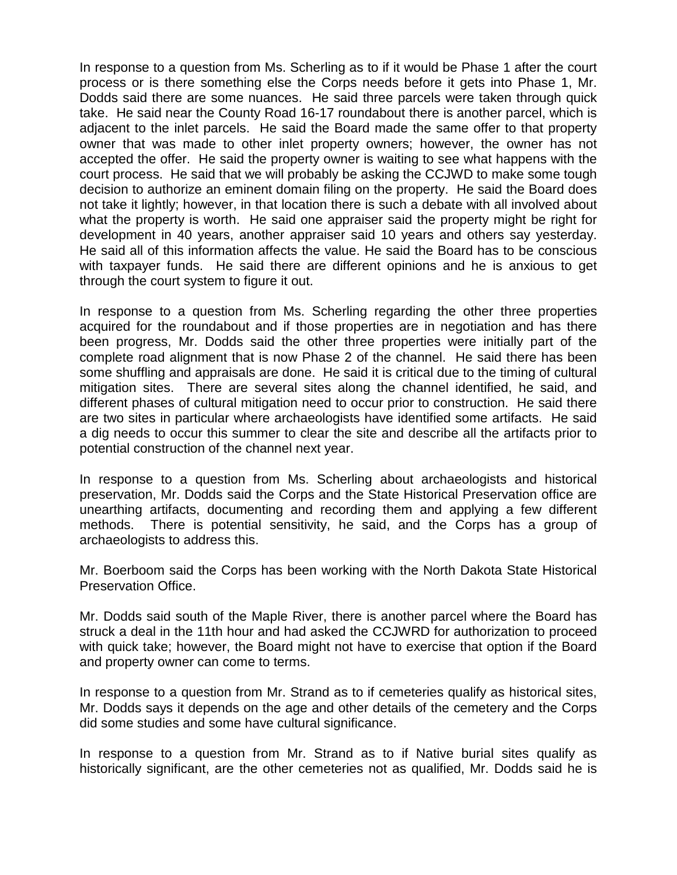In response to a question from Ms. Scherling as to if it would be Phase 1 after the court process or is there something else the Corps needs before it gets into Phase 1, Mr. Dodds said there are some nuances. He said three parcels were taken through quick take. He said near the County Road 16-17 roundabout there is another parcel, which is adjacent to the inlet parcels. He said the Board made the same offer to that property owner that was made to other inlet property owners; however, the owner has not accepted the offer. He said the property owner is waiting to see what happens with the court process. He said that we will probably be asking the CCJWD to make some tough decision to authorize an eminent domain filing on the property. He said the Board does not take it lightly; however, in that location there is such a debate with all involved about what the property is worth. He said one appraiser said the property might be right for development in 40 years, another appraiser said 10 years and others say yesterday. He said all of this information affects the value. He said the Board has to be conscious with taxpayer funds. He said there are different opinions and he is anxious to get through the court system to figure it out.

In response to a question from Ms. Scherling regarding the other three properties acquired for the roundabout and if those properties are in negotiation and has there been progress, Mr. Dodds said the other three properties were initially part of the complete road alignment that is now Phase 2 of the channel. He said there has been some shuffling and appraisals are done. He said it is critical due to the timing of cultural mitigation sites. There are several sites along the channel identified, he said, and different phases of cultural mitigation need to occur prior to construction. He said there are two sites in particular where archaeologists have identified some artifacts. He said a dig needs to occur this summer to clear the site and describe all the artifacts prior to potential construction of the channel next year.

In response to a question from Ms. Scherling about archaeologists and historical preservation, Mr. Dodds said the Corps and the State Historical Preservation office are unearthing artifacts, documenting and recording them and applying a few different methods. There is potential sensitivity, he said, and the Corps has a group of archaeologists to address this.

Mr. Boerboom said the Corps has been working with the North Dakota State Historical Preservation Office.

Mr. Dodds said south of the Maple River, there is another parcel where the Board has struck a deal in the 11th hour and had asked the CCJWRD for authorization to proceed with quick take; however, the Board might not have to exercise that option if the Board and property owner can come to terms.

In response to a question from Mr. Strand as to if cemeteries qualify as historical sites, Mr. Dodds says it depends on the age and other details of the cemetery and the Corps did some studies and some have cultural significance.

In response to a question from Mr. Strand as to if Native burial sites qualify as historically significant, are the other cemeteries not as qualified, Mr. Dodds said he is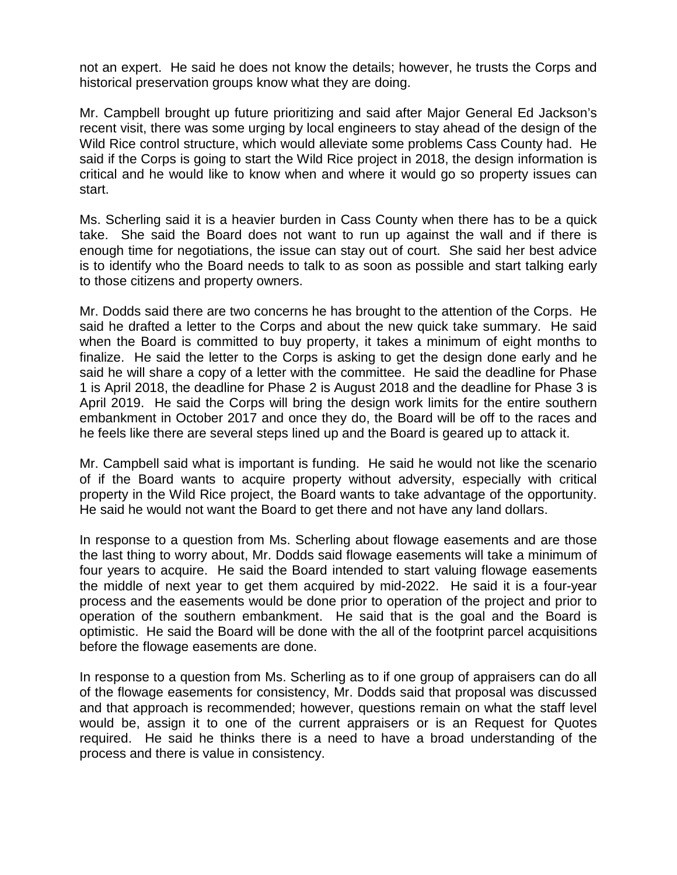not an expert. He said he does not know the details; however, he trusts the Corps and historical preservation groups know what they are doing.

Mr. Campbell brought up future prioritizing and said after Major General Ed Jackson's recent visit, there was some urging by local engineers to stay ahead of the design of the Wild Rice control structure, which would alleviate some problems Cass County had. He said if the Corps is going to start the Wild Rice project in 2018, the design information is critical and he would like to know when and where it would go so property issues can start.

Ms. Scherling said it is a heavier burden in Cass County when there has to be a quick take. She said the Board does not want to run up against the wall and if there is enough time for negotiations, the issue can stay out of court. She said her best advice is to identify who the Board needs to talk to as soon as possible and start talking early to those citizens and property owners.

Mr. Dodds said there are two concerns he has brought to the attention of the Corps. He said he drafted a letter to the Corps and about the new quick take summary. He said when the Board is committed to buy property, it takes a minimum of eight months to finalize. He said the letter to the Corps is asking to get the design done early and he said he will share a copy of a letter with the committee. He said the deadline for Phase 1 is April 2018, the deadline for Phase 2 is August 2018 and the deadline for Phase 3 is April 2019. He said the Corps will bring the design work limits for the entire southern embankment in October 2017 and once they do, the Board will be off to the races and he feels like there are several steps lined up and the Board is geared up to attack it.

Mr. Campbell said what is important is funding. He said he would not like the scenario of if the Board wants to acquire property without adversity, especially with critical property in the Wild Rice project, the Board wants to take advantage of the opportunity. He said he would not want the Board to get there and not have any land dollars.

In response to a question from Ms. Scherling about flowage easements and are those the last thing to worry about, Mr. Dodds said flowage easements will take a minimum of four years to acquire. He said the Board intended to start valuing flowage easements the middle of next year to get them acquired by mid-2022. He said it is a four-year process and the easements would be done prior to operation of the project and prior to operation of the southern embankment. He said that is the goal and the Board is optimistic. He said the Board will be done with the all of the footprint parcel acquisitions before the flowage easements are done.

In response to a question from Ms. Scherling as to if one group of appraisers can do all of the flowage easements for consistency, Mr. Dodds said that proposal was discussed and that approach is recommended; however, questions remain on what the staff level would be, assign it to one of the current appraisers or is an Request for Quotes required. He said he thinks there is a need to have a broad understanding of the process and there is value in consistency.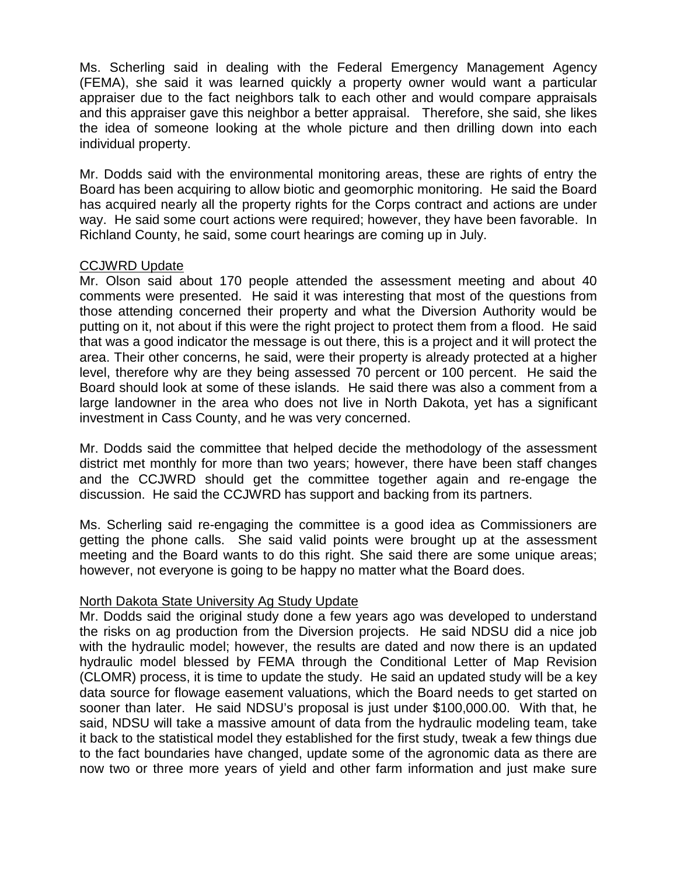Ms. Scherling said in dealing with the Federal Emergency Management Agency (FEMA), she said it was learned quickly a property owner would want a particular appraiser due to the fact neighbors talk to each other and would compare appraisals and this appraiser gave this neighbor a better appraisal. Therefore, she said, she likes the idea of someone looking at the whole picture and then drilling down into each individual property.

Mr. Dodds said with the environmental monitoring areas, these are rights of entry the Board has been acquiring to allow biotic and geomorphic monitoring. He said the Board has acquired nearly all the property rights for the Corps contract and actions are under way. He said some court actions were required; however, they have been favorable. In Richland County, he said, some court hearings are coming up in July.

## CCJWRD Update

Mr. Olson said about 170 people attended the assessment meeting and about 40 comments were presented. He said it was interesting that most of the questions from those attending concerned their property and what the Diversion Authority would be putting on it, not about if this were the right project to protect them from a flood. He said that was a good indicator the message is out there, this is a project and it will protect the area. Their other concerns, he said, were their property is already protected at a higher level, therefore why are they being assessed 70 percent or 100 percent. He said the Board should look at some of these islands. He said there was also a comment from a large landowner in the area who does not live in North Dakota, yet has a significant investment in Cass County, and he was very concerned.

Mr. Dodds said the committee that helped decide the methodology of the assessment district met monthly for more than two years; however, there have been staff changes and the CCJWRD should get the committee together again and re-engage the discussion. He said the CCJWRD has support and backing from its partners.

Ms. Scherling said re-engaging the committee is a good idea as Commissioners are getting the phone calls. She said valid points were brought up at the assessment meeting and the Board wants to do this right. She said there are some unique areas; however, not everyone is going to be happy no matter what the Board does.

# North Dakota State University Ag Study Update

Mr. Dodds said the original study done a few years ago was developed to understand the risks on ag production from the Diversion projects. He said NDSU did a nice job with the hydraulic model; however, the results are dated and now there is an updated hydraulic model blessed by FEMA through the Conditional Letter of Map Revision (CLOMR) process, it is time to update the study. He said an updated study will be a key data source for flowage easement valuations, which the Board needs to get started on sooner than later. He said NDSU's proposal is just under \$100,000.00. With that, he said, NDSU will take a massive amount of data from the hydraulic modeling team, take it back to the statistical model they established for the first study, tweak a few things due to the fact boundaries have changed, update some of the agronomic data as there are now two or three more years of yield and other farm information and just make sure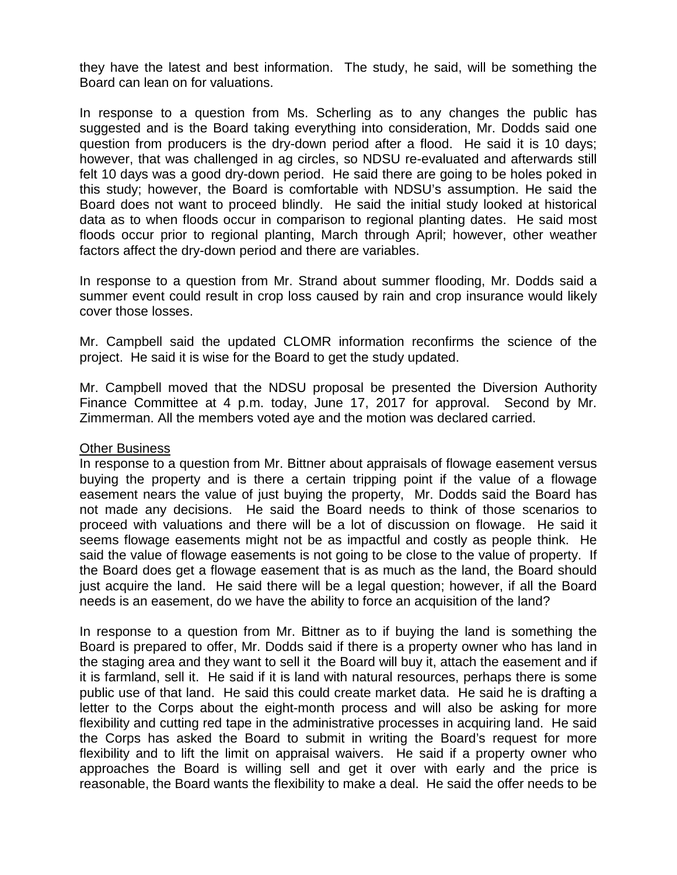they have the latest and best information. The study, he said, will be something the Board can lean on for valuations.

In response to a question from Ms. Scherling as to any changes the public has suggested and is the Board taking everything into consideration, Mr. Dodds said one question from producers is the dry-down period after a flood. He said it is 10 days; however, that was challenged in ag circles, so NDSU re-evaluated and afterwards still felt 10 days was a good dry-down period. He said there are going to be holes poked in this study; however, the Board is comfortable with NDSU's assumption. He said the Board does not want to proceed blindly. He said the initial study looked at historical data as to when floods occur in comparison to regional planting dates. He said most floods occur prior to regional planting, March through April; however, other weather factors affect the dry-down period and there are variables.

In response to a question from Mr. Strand about summer flooding, Mr. Dodds said a summer event could result in crop loss caused by rain and crop insurance would likely cover those losses.

Mr. Campbell said the updated CLOMR information reconfirms the science of the project. He said it is wise for the Board to get the study updated.

Mr. Campbell moved that the NDSU proposal be presented the Diversion Authority Finance Committee at 4 p.m. today, June 17, 2017 for approval. Second by Mr. Zimmerman. All the members voted aye and the motion was declared carried.

### Other Business

In response to a question from Mr. Bittner about appraisals of flowage easement versus buying the property and is there a certain tripping point if the value of a flowage easement nears the value of just buying the property, Mr. Dodds said the Board has not made any decisions. He said the Board needs to think of those scenarios to proceed with valuations and there will be a lot of discussion on flowage. He said it seems flowage easements might not be as impactful and costly as people think. He said the value of flowage easements is not going to be close to the value of property. If the Board does get a flowage easement that is as much as the land, the Board should just acquire the land. He said there will be a legal question; however, if all the Board needs is an easement, do we have the ability to force an acquisition of the land?

In response to a question from Mr. Bittner as to if buying the land is something the Board is prepared to offer, Mr. Dodds said if there is a property owner who has land in the staging area and they want to sell it the Board will buy it, attach the easement and if it is farmland, sell it. He said if it is land with natural resources, perhaps there is some public use of that land. He said this could create market data. He said he is drafting a letter to the Corps about the eight-month process and will also be asking for more flexibility and cutting red tape in the administrative processes in acquiring land. He said the Corps has asked the Board to submit in writing the Board's request for more flexibility and to lift the limit on appraisal waivers. He said if a property owner who approaches the Board is willing sell and get it over with early and the price is reasonable, the Board wants the flexibility to make a deal. He said the offer needs to be